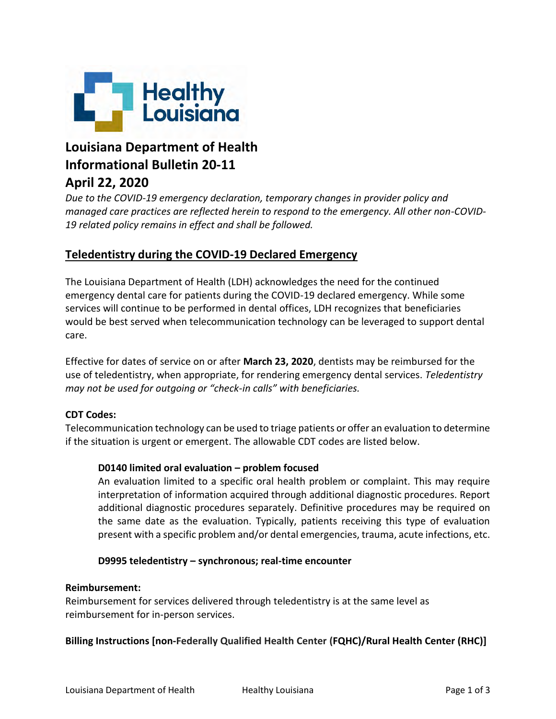

# **Louisiana Department of Health Informational Bulletin 20-11 April 22, 2020**

## *Due to the COVID-19 emergency declaration, temporary changes in provider policy and managed care practices are reflected herein to respond to the emergency. All other non-COVID-19 related policy remains in effect and shall be followed.*

## **Teledentistry during the COVID-19 Declared Emergency**

The Louisiana Department of Health (LDH) acknowledges the need for the continued emergency dental care for patients during the COVID-19 declared emergency. While some services will continue to be performed in dental offices, LDH recognizes that beneficiaries would be best served when telecommunication technology can be leveraged to support dental care.

Effective for dates of service on or after **March 23, 2020**, dentists may be reimbursed for the use of teledentistry, when appropriate, for rendering emergency dental services. *Teledentistry may not be used for outgoing or "check-in calls" with beneficiaries.*

#### **CDT Codes:**

Telecommunication technology can be used to triage patients or offer an evaluation to determine if the situation is urgent or emergent. The allowable CDT codes are listed below.

#### **D0140 limited oral evaluation – problem focused**

An evaluation limited to a specific oral health problem or complaint. This may require interpretation of information acquired through additional diagnostic procedures. Report additional diagnostic procedures separately. Definitive procedures may be required on the same date as the evaluation. Typically, patients receiving this type of evaluation present with a specific problem and/or dental emergencies, trauma, acute infections, etc.

#### **D9995 teledentistry – synchronous; real-time encounter**

#### **Reimbursement:**

Reimbursement for services delivered through teledentistry is at the same level as reimbursement for in-person services.

#### **Billing Instructions [non-Federally Qualified Health Center (FQHC)/Rural Health Center (RHC)]**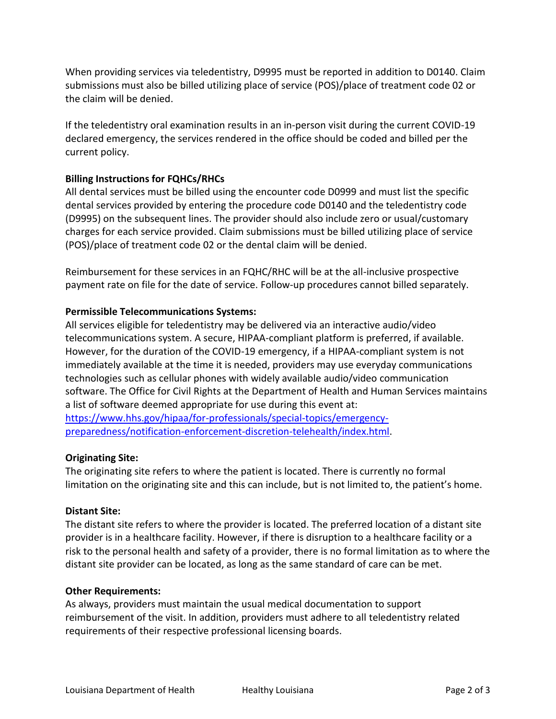When providing services via teledentistry, D9995 must be reported in addition to D0140. Claim submissions must also be billed utilizing place of service (POS)/place of treatment code 02 or the claim will be denied.

If the teledentistry oral examination results in an in-person visit during the current COVID-19 declared emergency, the services rendered in the office should be coded and billed per the current policy.

### **Billing Instructions for FQHCs/RHCs**

All dental services must be billed using the encounter code D0999 and must list the specific dental services provided by entering the procedure code D0140 and the teledentistry code (D9995) on the subsequent lines. The provider should also include zero or usual/customary charges for each service provided. Claim submissions must be billed utilizing place of service (POS)/place of treatment code 02 or the dental claim will be denied.

Reimbursement for these services in an FQHC/RHC will be at the all-inclusive prospective payment rate on file for the date of service. Follow-up procedures cannot billed separately.

#### **Permissible Telecommunications Systems:**

All services eligible for teledentistry may be delivered via an interactive audio/video telecommunications system. A secure, HIPAA-compliant platform is preferred, if available. However, for the duration of the COVID-19 emergency, if a HIPAA-compliant system is not immediately available at the time it is needed, providers may use everyday communications technologies such as cellular phones with widely available audio/video communication software. The Office for Civil Rights at the Department of Health and Human Services maintains a list of software deemed appropriate for use during this event at: [https://www.hhs.gov/hipaa/for-professionals/special-topics/emergency-](https://www.hhs.gov/hipaa/for-professionals/special-topics/emergency-preparedness/notification-enforcement-discretion-telehealth/index.html)

[preparedness/notification-enforcement-discretion-telehealth/index.html.](https://www.hhs.gov/hipaa/for-professionals/special-topics/emergency-preparedness/notification-enforcement-discretion-telehealth/index.html)

#### **Originating Site:**

The originating site refers to where the patient is located. There is currently no formal limitation on the originating site and this can include, but is not limited to, the patient's home.

#### **Distant Site:**

The distant site refers to where the provider is located. The preferred location of a distant site provider is in a healthcare facility. However, if there is disruption to a healthcare facility or a risk to the personal health and safety of a provider, there is no formal limitation as to where the distant site provider can be located, as long as the same standard of care can be met.

#### **Other Requirements:**

As always, providers must maintain the usual medical documentation to support reimbursement of the visit. In addition, providers must adhere to all teledentistry related requirements of their respective professional licensing boards.